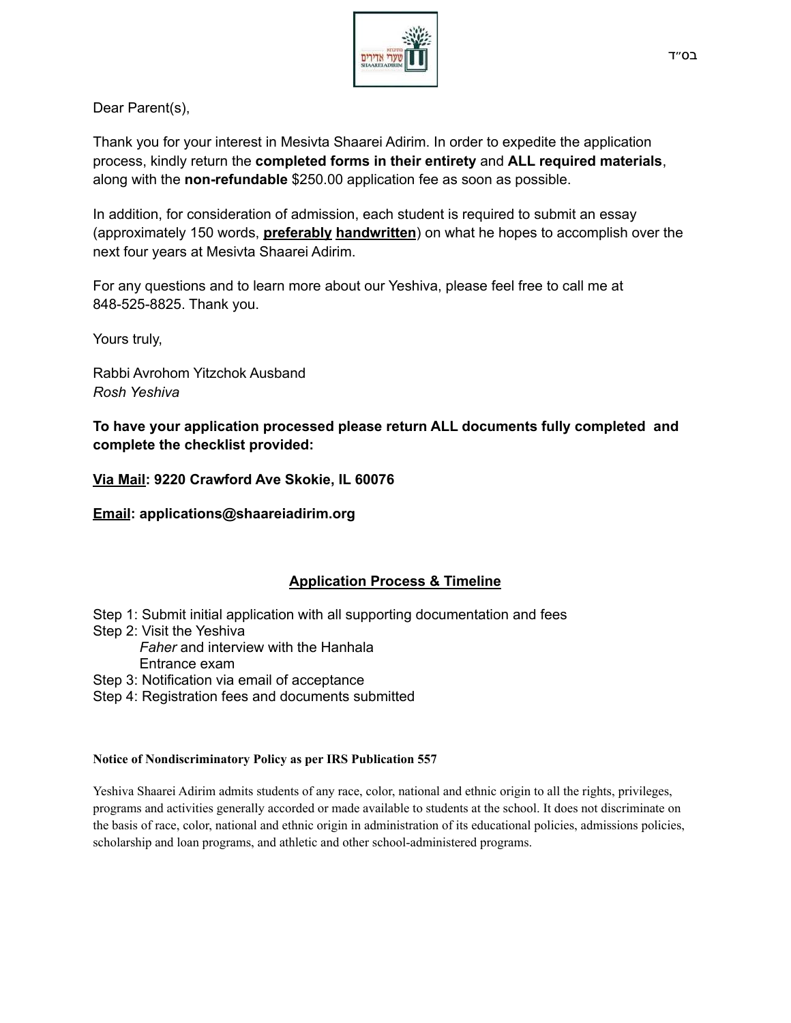

Dear Parent(s),

Thank you for your interest in Mesivta Shaarei Adirim. In order to expedite the application process, kindly return the **completed forms in their entirety** and **ALL required materials**, along with the **non-refundable** \$250.00 application fee as soon as possible.

In addition, for consideration of admission, each student is required to submit an essay (approximately 150 words, **preferably handwritten**) on what he hopes to accomplish over the next four years at Mesivta Shaarei Adirim.

For any questions and to learn more about our Yeshiva, please feel free to call me at 848-525-8825. Thank you.

Yours truly,

Rabbi Avrohom Yitzchok Ausband *Rosh Yeshiva*

**To have your application processed please return ALL documents fully completed and complete the checklist provided:**

**Via Mail: 9220 Crawford Ave Skokie, IL 60076**

**Email: applications@shaareiadirim.org**

#### **Application Process & Timeline**

- Step 1: Submit initial application with all supporting documentation and fees
- Step 2: Visit the Yeshiva
	- *Faher* and interview with the Hanhala
	- Entrance exam

Step 3: Notification via email of acceptance

Step 4: Registration fees and documents submitted

#### **Notice of Nondiscriminatory Policy as per IRS Publication 557**

Yeshiva Shaarei Adirim admits students of any race, color, national and ethnic origin to all the rights, privileges, programs and activities generally accorded or made available to students at the school. It does not discriminate on the basis of race, color, national and ethnic origin in administration of its educational policies, admissions policies, scholarship and loan programs, and athletic and other school-administered programs.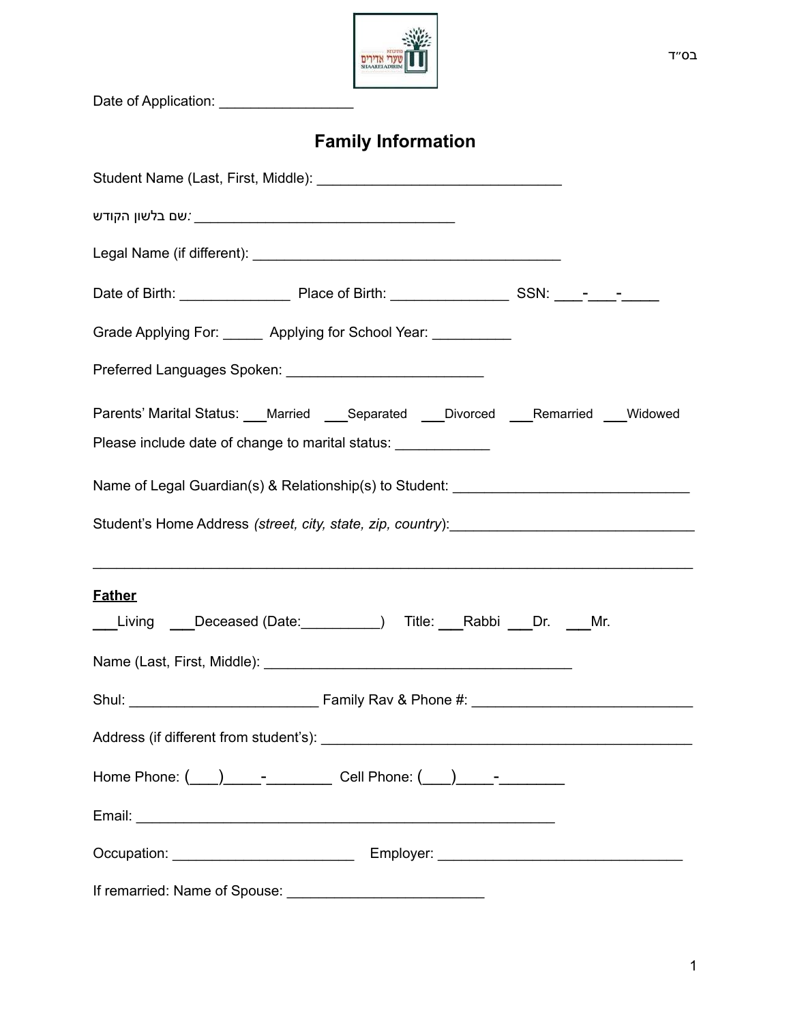| בס״ד                                                                                 |
|--------------------------------------------------------------------------------------|
| Date of Application: ___________________                                             |
| <b>Family Information</b>                                                            |
|                                                                                      |
|                                                                                      |
|                                                                                      |
|                                                                                      |
| Grade Applying For: Applying for School Year:                                        |
|                                                                                      |
| Parents' Marital Status: ___Married ___Separated ___Divorced ___Remarried ___Widowed |
| Please include date of change to marital status: ______________                      |
| Name of Legal Guardian(s) & Relationship(s) to Student: ________________________     |
|                                                                                      |
|                                                                                      |
| <b>Father</b>                                                                        |
| Living ___Deceased (Date:__________) Title: ___Rabbi ___Dr. ___Mr.                   |
|                                                                                      |
|                                                                                      |
|                                                                                      |
| Home Phone: ( ___ ) _____- ___________ Cell Phone: ( ___ ) _____- __________         |
|                                                                                      |
|                                                                                      |
|                                                                                      |

÷

F

1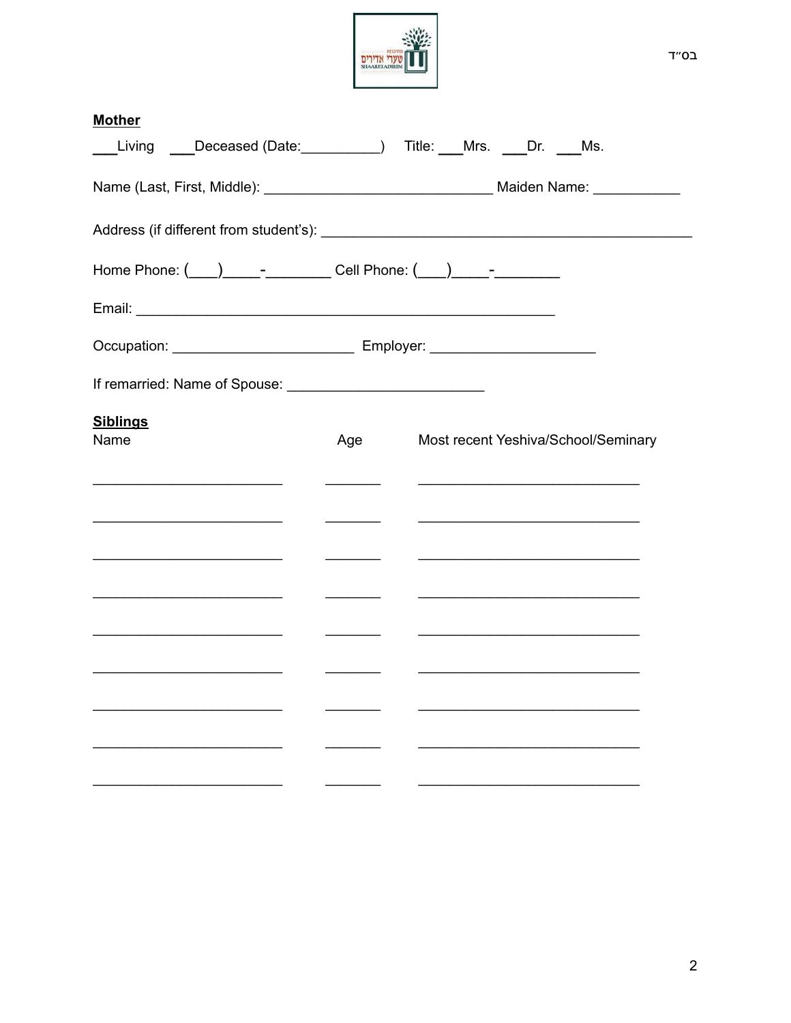

בס״ד

| <b>Mother</b>                                                                                                                                                                                                                  |                                                                                                                                                                                                                                                                                                                                                                                                                                                                                        |                                                                                                                                                                                                                               |
|--------------------------------------------------------------------------------------------------------------------------------------------------------------------------------------------------------------------------------|----------------------------------------------------------------------------------------------------------------------------------------------------------------------------------------------------------------------------------------------------------------------------------------------------------------------------------------------------------------------------------------------------------------------------------------------------------------------------------------|-------------------------------------------------------------------------------------------------------------------------------------------------------------------------------------------------------------------------------|
| Living Deceased (Date: 1992) Title: Mrs. Dr. Ms.                                                                                                                                                                               |                                                                                                                                                                                                                                                                                                                                                                                                                                                                                        |                                                                                                                                                                                                                               |
|                                                                                                                                                                                                                                |                                                                                                                                                                                                                                                                                                                                                                                                                                                                                        |                                                                                                                                                                                                                               |
|                                                                                                                                                                                                                                |                                                                                                                                                                                                                                                                                                                                                                                                                                                                                        |                                                                                                                                                                                                                               |
| Home Phone: ( <u>___) ______________________</u> Cell Phone: ( ___) _____-____________                                                                                                                                         |                                                                                                                                                                                                                                                                                                                                                                                                                                                                                        |                                                                                                                                                                                                                               |
|                                                                                                                                                                                                                                |                                                                                                                                                                                                                                                                                                                                                                                                                                                                                        |                                                                                                                                                                                                                               |
| Occupation: __________________________________ Employer: _______________________                                                                                                                                               |                                                                                                                                                                                                                                                                                                                                                                                                                                                                                        |                                                                                                                                                                                                                               |
| If remarried: Name of Spouse: [11] The Contract of Spouse: [11] The Contract of Spouse: [11] The Contract of Spouse of Spouse of Spouse of Spouse of Spouse of Spouse of Spouse of Spouse of Spouse of Spouse of Spouse of Spo |                                                                                                                                                                                                                                                                                                                                                                                                                                                                                        |                                                                                                                                                                                                                               |
| <b>Siblings</b><br>Name                                                                                                                                                                                                        | Age                                                                                                                                                                                                                                                                                                                                                                                                                                                                                    | Most recent Yeshiva/School/Seminary                                                                                                                                                                                           |
|                                                                                                                                                                                                                                |                                                                                                                                                                                                                                                                                                                                                                                                                                                                                        |                                                                                                                                                                                                                               |
| the control of the control of the control of the control of                                                                                                                                                                    |                                                                                                                                                                                                                                                                                                                                                                                                                                                                                        |                                                                                                                                                                                                                               |
|                                                                                                                                                                                                                                |                                                                                                                                                                                                                                                                                                                                                                                                                                                                                        |                                                                                                                                                                                                                               |
|                                                                                                                                                                                                                                | $\overline{\phantom{a}}$<br>$\mathcal{L}$ and $\mathcal{L}$ and $\mathcal{L}$                                                                                                                                                                                                                                                                                                                                                                                                          | <u> 1990 - Johann John Stone, mars et al. (</u>                                                                                                                                                                               |
| <u> 1989 - Johann Barbara, martin da basar da basa</u>                                                                                                                                                                         | $\overline{\phantom{a}}$                                                                                                                                                                                                                                                                                                                                                                                                                                                               | the control of the control of the control of the control of the control of the control of                                                                                                                                     |
| <u> 1989 - Johann Stoff, fransk politik (d. 1989)</u>                                                                                                                                                                          | $\begin{array}{cccccccccc} \multicolumn{3}{c}{} & \multicolumn{3}{c}{} & \multicolumn{3}{c}{} & \multicolumn{3}{c}{} & \multicolumn{3}{c}{} & \multicolumn{3}{c}{} & \multicolumn{3}{c}{} & \multicolumn{3}{c}{} & \multicolumn{3}{c}{} & \multicolumn{3}{c}{} & \multicolumn{3}{c}{} & \multicolumn{3}{c}{} & \multicolumn{3}{c}{} & \multicolumn{3}{c}{} & \multicolumn{3}{c}{} & \multicolumn{3}{c}{} & \multicolumn{3}{c}{} & \multicolumn{3}{c}{} & \multicolumn{3}{c}{} & \mult$ | the control of the control of the control of the control of the control of the control of the control of the control of the control of the control of the control of the control of the control of the control of the control |
|                                                                                                                                                                                                                                |                                                                                                                                                                                                                                                                                                                                                                                                                                                                                        |                                                                                                                                                                                                                               |
|                                                                                                                                                                                                                                |                                                                                                                                                                                                                                                                                                                                                                                                                                                                                        |                                                                                                                                                                                                                               |
|                                                                                                                                                                                                                                |                                                                                                                                                                                                                                                                                                                                                                                                                                                                                        |                                                                                                                                                                                                                               |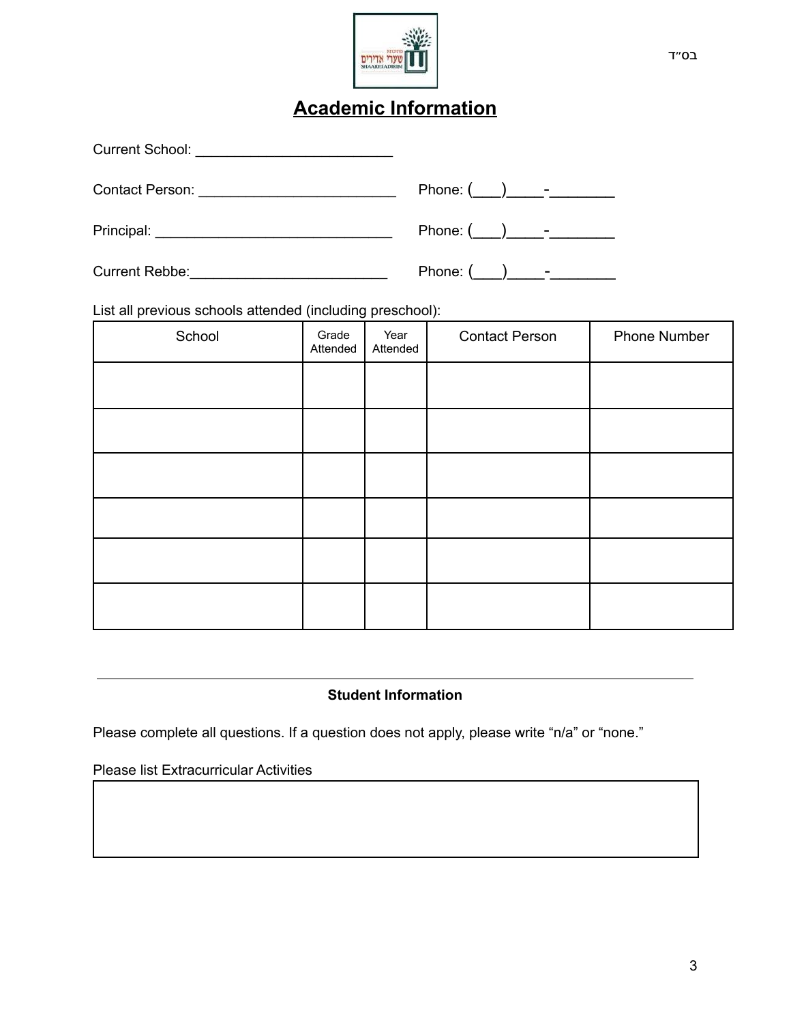

# **Academic Information**

| <b>Current School:</b><br><u> 1980 - Andrea Andrew Maria (h. 1980).</u>            |                           |
|------------------------------------------------------------------------------------|---------------------------|
|                                                                                    |                           |
| Principal:<br><u> 1980 - Johann Johann Stein, mars an deutscher Stein († 1918)</u> | Phone: $($ ) -            |
| <b>Current Rebbe:</b><br><u> 1989 - Johann Barbara, martin a</u>                   | Phone: $(\_\_\_\_\_\_\$ - |

List all previous schools attended (including preschool):

| School | Grade<br>Attended | Year<br>Attended | <b>Contact Person</b> | Phone Number |
|--------|-------------------|------------------|-----------------------|--------------|
|        |                   |                  |                       |              |
|        |                   |                  |                       |              |
|        |                   |                  |                       |              |
|        |                   |                  |                       |              |
|        |                   |                  |                       |              |
|        |                   |                  |                       |              |

### **Student Information**

Please complete all questions. If a question does not apply, please write "n/a" or "none."

Please list Extracurricular Activities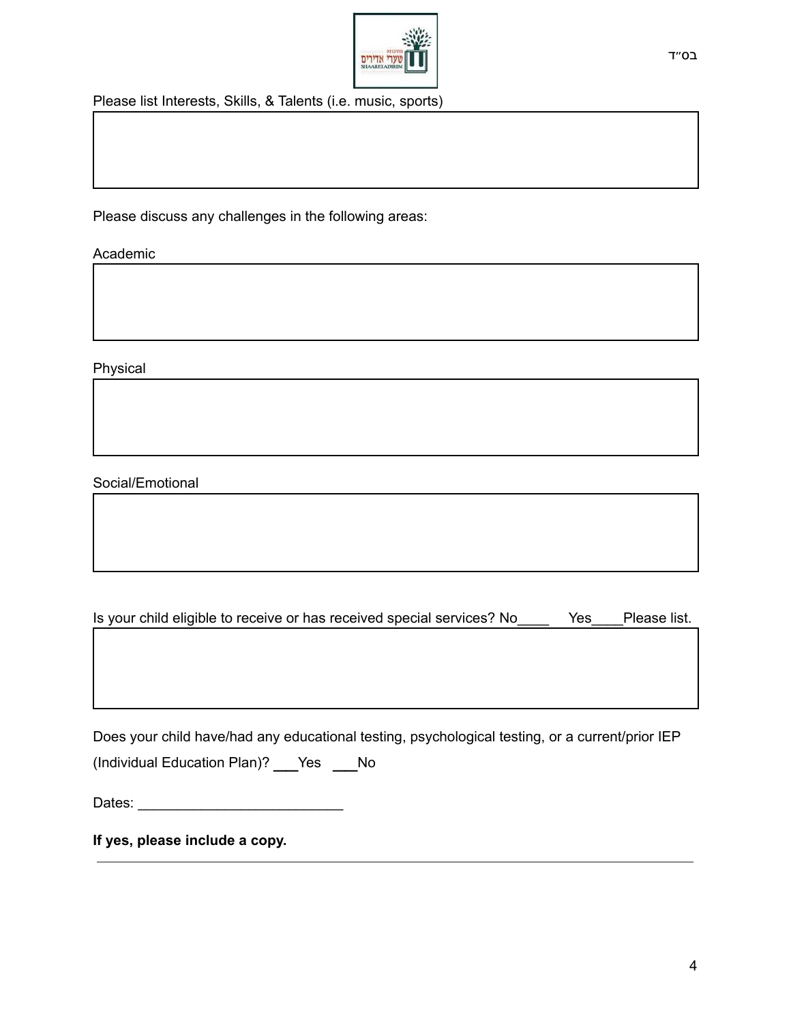

Please list Interests, Skills, & Talents (i.e. music, sports)

Please discuss any challenges in the following areas:

Academic

Physical

Social/Emotional

Is your child eligible to receive or has received special services? No \_\_\_\_\_\_ Yes \_\_\_\_Please list.

Does your child have/had any educational testing, psychological testing, or a current/prior IEP (Individual Education Plan)? \_\_Yes \_\_No

Dates: \_\_\_\_\_\_\_\_\_\_\_\_\_\_\_\_\_\_\_\_\_\_\_\_\_\_

**If yes, please include a copy.**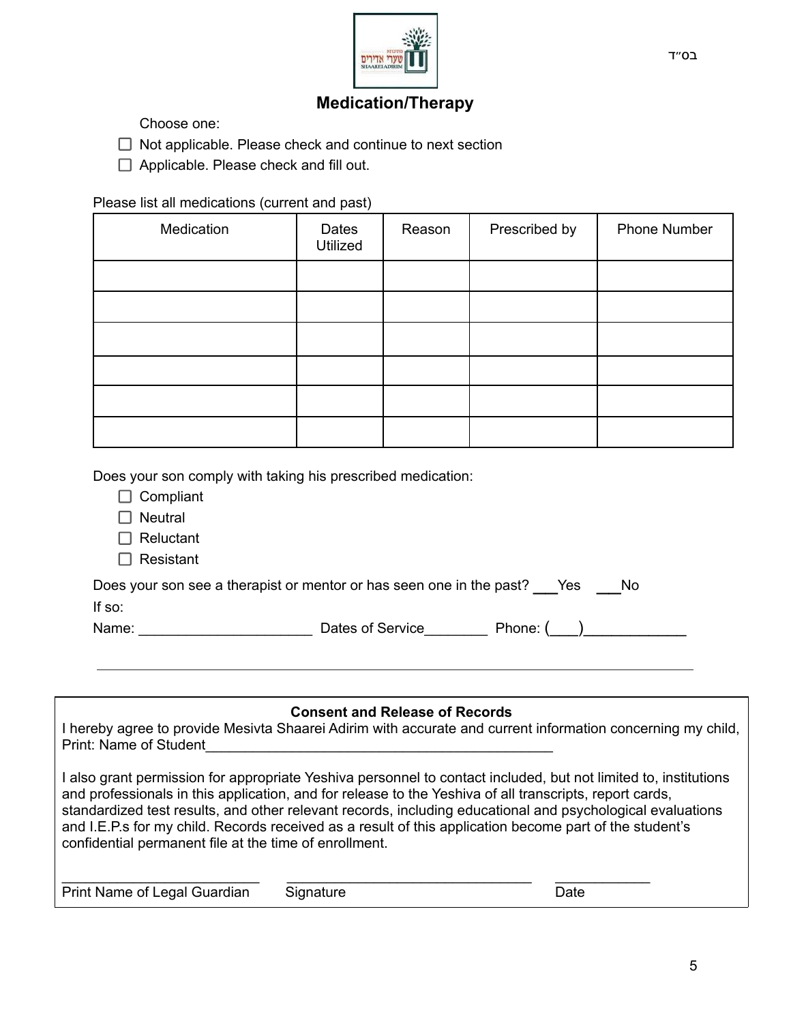

## **Medication/Therapy**

Choose one:

 $\Box$  Not applicable. Please check and continue to next section

 $\Box$  Applicable. Please check and fill out.

#### Please list all medications (current and past)

| Medication | Dates<br>Utilized | Reason | Prescribed by | Phone Number |
|------------|-------------------|--------|---------------|--------------|
|            |                   |        |               |              |
|            |                   |        |               |              |
|            |                   |        |               |              |
|            |                   |        |               |              |
|            |                   |        |               |              |
|            |                   |        |               |              |

Does your son comply with taking his prescribed medication:

- $\Box$  Compliant
- $\Box$  Neutral
- □ Reluctant
- $\Box$  Resistant

| Does your son see a therapist or mentor or has seen one in the past? Yes | No. |
|--------------------------------------------------------------------------|-----|
|                                                                          |     |

If so:

Name: \_\_\_\_\_\_\_\_\_\_\_\_\_\_\_\_\_\_\_\_\_\_ Dates of Service\_\_\_\_\_\_\_\_ Phone: (\_\_\_)\_\_\_\_\_\_\_\_\_\_\_

#### **Consent and Release of Records**

I hereby agree to provide Mesivta Shaarei Adirim with accurate and current information concerning my child, Print: Name of Student

I also grant permission for appropriate Yeshiva personnel to contact included, but not limited to, institutions and professionals in this application, and for release to the Yeshiva of all transcripts, report cards, standardized test results, and other relevant records, including educational and psychological evaluations and I.E.P.s for my child. Records received as a result of this application become part of the student's confidential permanent file at the time of enrollment.

| Print Name of Legal Guardian | Signature | つate |
|------------------------------|-----------|------|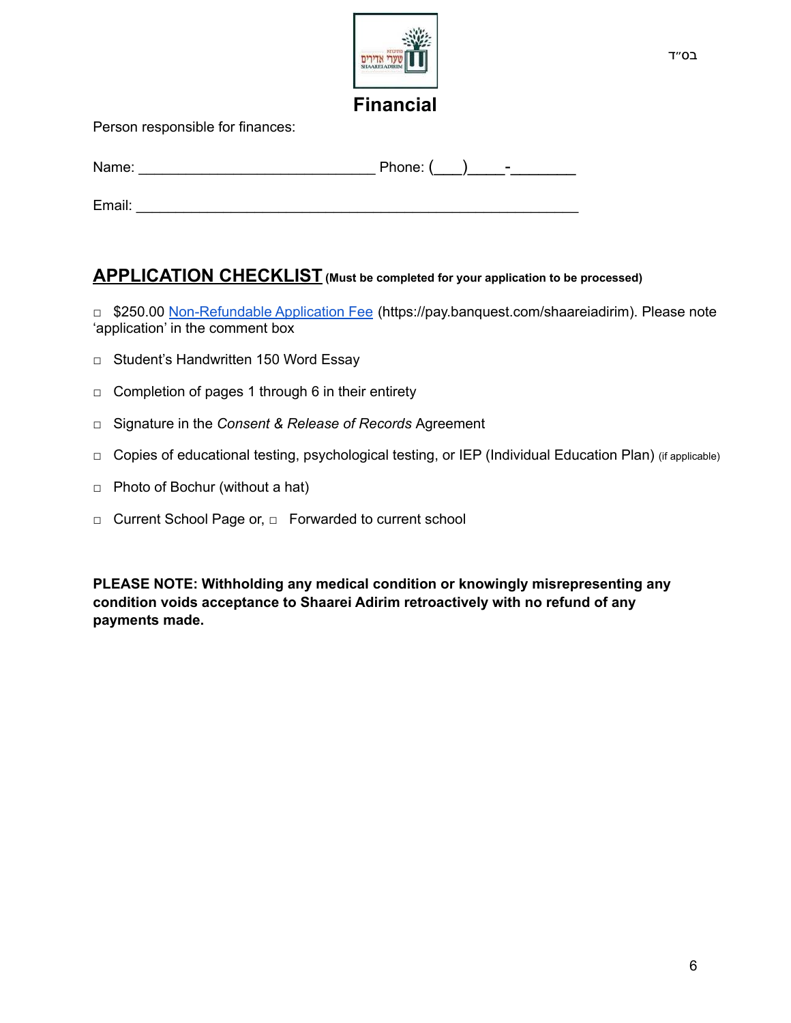

בס״ד

Person responsible for finances:

| Name:  | Phone: ()<br>$\overline{\phantom{a}}$ |
|--------|---------------------------------------|
|        |                                       |
| Email: |                                       |

## **APPLICATION CHECKLIST (Must be completed for your application to be processed)**

□ \$250.00 [Non-Refundable Application Fee](https://pay.banquest.com/shaareiadirim) (https://pay.banquest.com/shaareiadirim). Please note 'application' in the comment box

- □ Student's Handwritten 150 Word Essay
- $\Box$  Completion of pages 1 through 6 in their entirety
- □ Signature in the *Consent & Release of Records* Agreement
- □ Copies of educational testing, psychological testing, or IEP (Individual Education Plan) (if applicable)
- $\Box$  Photo of Bochur (without a hat)
- □ Current School Page or, □ Forwarded to current school

**PLEASE NOTE: Withholding any medical condition or knowingly misrepresenting any condition voids acceptance to Shaarei Adirim retroactively with no refund of any payments made.**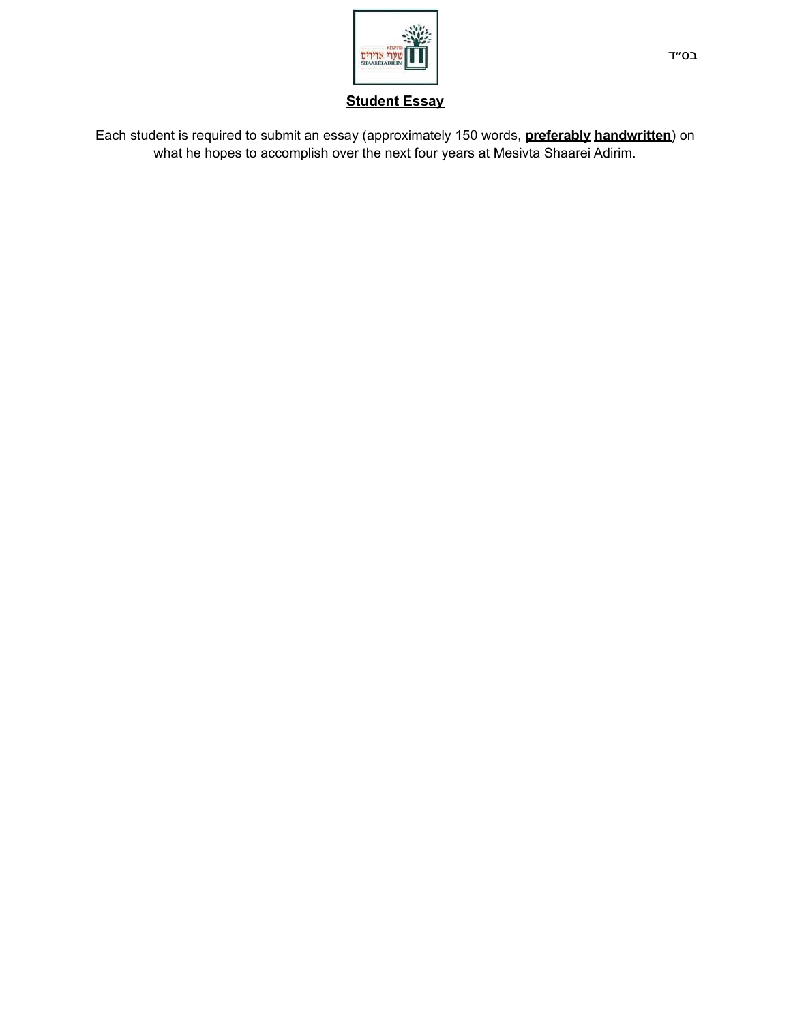

**Student Essay**

Each student is required to submit an essay (approximately 150 words, **preferably handwritten**) on what he hopes to accomplish over the next four years at Mesivta Shaarei Adirim.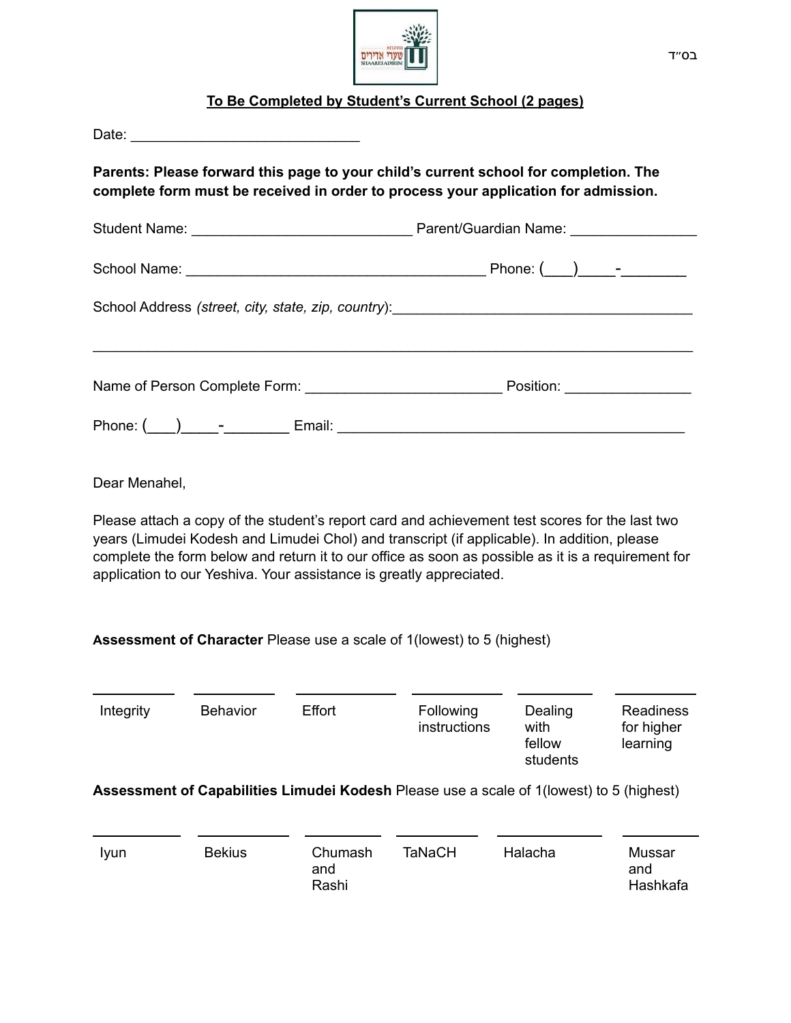

## **To Be Completed by Student's Current School (2 pages)**

| Parents: Please forward this page to your child's current school for completion. The<br>complete form must be received in order to process your application for admission. |                 |                |                                                                                                                                                                                                                                                                                                                                                                            |                                       |                                            |  |  |
|----------------------------------------------------------------------------------------------------------------------------------------------------------------------------|-----------------|----------------|----------------------------------------------------------------------------------------------------------------------------------------------------------------------------------------------------------------------------------------------------------------------------------------------------------------------------------------------------------------------------|---------------------------------------|--------------------------------------------|--|--|
|                                                                                                                                                                            |                 |                |                                                                                                                                                                                                                                                                                                                                                                            |                                       |                                            |  |  |
|                                                                                                                                                                            |                 |                |                                                                                                                                                                                                                                                                                                                                                                            |                                       |                                            |  |  |
|                                                                                                                                                                            |                 |                |                                                                                                                                                                                                                                                                                                                                                                            |                                       |                                            |  |  |
|                                                                                                                                                                            |                 |                | Name of Person Complete Form: Name of Position: Name of Person Complete Form: Name of Person Complete Form:                                                                                                                                                                                                                                                                |                                       |                                            |  |  |
|                                                                                                                                                                            |                 |                |                                                                                                                                                                                                                                                                                                                                                                            |                                       |                                            |  |  |
|                                                                                                                                                                            |                 |                |                                                                                                                                                                                                                                                                                                                                                                            |                                       |                                            |  |  |
|                                                                                                                                                                            |                 |                |                                                                                                                                                                                                                                                                                                                                                                            |                                       |                                            |  |  |
| Dear Menahel,                                                                                                                                                              |                 |                |                                                                                                                                                                                                                                                                                                                                                                            |                                       |                                            |  |  |
|                                                                                                                                                                            |                 |                | Please attach a copy of the student's report card and achievement test scores for the last two<br>years (Limudei Kodesh and Limudei Chol) and transcript (if applicable). In addition, please<br>complete the form below and return it to our office as soon as possible as it is a requirement for<br>application to our Yeshiva. Your assistance is greatly appreciated. |                                       |                                            |  |  |
|                                                                                                                                                                            |                 |                | Assessment of Character Please use a scale of 1 (lowest) to 5 (highest)                                                                                                                                                                                                                                                                                                    |                                       |                                            |  |  |
| Integrity                                                                                                                                                                  | <b>Behavior</b> | Effort         | Following<br>instructions                                                                                                                                                                                                                                                                                                                                                  | Dealing<br>with<br>fellow<br>students | <b>Readiness</b><br>for higher<br>learning |  |  |
|                                                                                                                                                                            |                 |                | Assessment of Capabilities Limudei Kodesh Please use a scale of 1(lowest) to 5 (highest)                                                                                                                                                                                                                                                                                   |                                       |                                            |  |  |
| lyun                                                                                                                                                                       | <b>Bekius</b>   | Chumash<br>and | <b>TaNaCH</b>                                                                                                                                                                                                                                                                                                                                                              | Halacha                               | <b>Mussar</b><br>and                       |  |  |

Rashi

Hashkafa